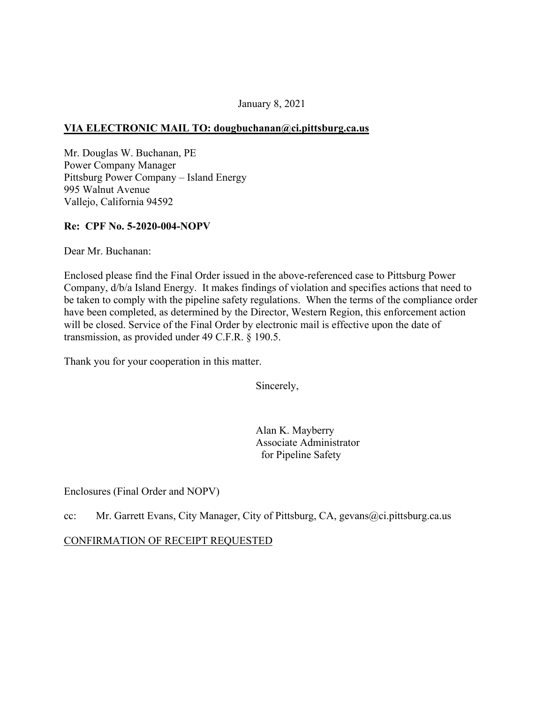### January 8, 2021

### **VIA ELECTRONIC MAIL TO: [dougbuchanan@ci.pittsburg.ca.us](mailto:dougbuchanan@ci.pittsburg.ca.us)**

Mr. Douglas W. Buchanan, PE Power Company Manager Pittsburg Power Company – Island Energy 995 Walnut Avenue Vallejo, California 94592

#### **Re: CPF No. 5-2020-004-NOPV**

Dear Mr. Buchanan:

Enclosed please find the Final Order issued in the above-referenced case to Pittsburg Power Company, d/b/a Island Energy. It makes findings of violation and specifies actions that need to be taken to comply with the pipeline safety regulations. When the terms of the compliance order have been completed, as determined by the Director, Western Region, this enforcement action will be closed. Service of the Final Order by electronic mail is effective upon the date of transmission, as provided under 49 C.F.R. § 190.5.

Thank you for your cooperation in this matter.

Sincerely,

Alan K. Mayberry Associate Administrator for Pipeline Safety

Enclosures (Final Order and NOPV)

cc: Mr. Garrett Evans, City Manager, City of Pittsburg, CA, [gevans@ci.pittsburg.ca.us](mailto:gevans@ci.pittsburg.ca.us)

CONFIRMATION OF RECEIPT REQUESTED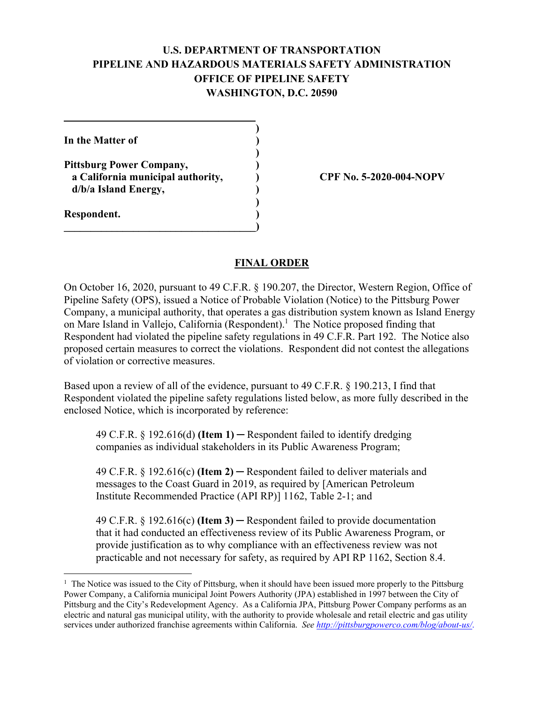# **U.S. DEPARTMENT OF TRANSPORTATION PIPELINE AND HAZARDOUS MATERIALS SAFETY ADMINISTRATION OFFICE OF PIPELINE SAFETY WASHINGTON, D.C. 20590**

**)** 

**)** 

**In the Matter of )** 

**Pittsburg Power Company, ) a California municipal authority, ) CPF No. 5-2020-004-NOPV d/b/a Island Energy, )**

 **)** 

**\_\_\_\_\_\_\_\_\_\_\_\_\_\_\_\_\_\_\_\_\_\_\_\_\_\_\_\_\_\_\_\_\_\_\_\_)** 

**Respondent. )** 

1

## **FINAL ORDER**

On October 16, 2020, pursuant to 49 C.F.R. § 190.207, the Director, Western Region, Office of Pipeline Safety (OPS), issued a Notice of Probable Violation (Notice) to the Pittsburg Power Company, a municipal authority, that operates a gas distribution system known as Island Energy on Mare Island in Vallejo, California (Respondent).<sup>1</sup> The Notice proposed finding that Respondent had violated the pipeline safety regulations in 49 C.F.R. Part 192. The Notice also proposed certain measures to correct the violations. Respondent did not contest the allegations of violation or corrective measures.

Based upon a review of all of the evidence, pursuant to 49 C.F.R. § 190.213, I find that Respondent violated the pipeline safety regulations listed below, as more fully described in the enclosed Notice, which is incorporated by reference:

49 C.F.R. § 192.616(d) **(Item 1)** ─ Respondent failed to identify dredging companies as individual stakeholders in its Public Awareness Program;

49 C.F.R. § 192.616(c) **(Item 2)** ─ Respondent failed to deliver materials and messages to the Coast Guard in 2019, as required by [American Petroleum Institute Recommended Practice (API RP)] 1162, Table 2-1; and

49 C.F.R. § 192.616(c) **(Item 3)** ─ Respondent failed to provide documentation that it had conducted an effectiveness review of its Public Awareness Program, or provide justification as to why compliance with an effectiveness review was not practicable and not necessary for safety, as required by API RP 1162, Section 8.4.

<sup>&</sup>lt;sup>1</sup> The Notice was issued to the City of Pittsburg, when it should have been issued more properly to the Pittsburg Power Company, a California municipal Joint Powers Authority (JPA) established in 1997 between the City of Pittsburg and the City's Redevelopment Agency. As a California JPA, Pittsburg Power Company performs as an electric and natural gas municipal utility, with the authority to provide wholesale and retail electric and gas utility services under authorized franchise agreements within California. *See [http://pittsburgpowerco.com/blog/about-us/](http://pittsburgpowerco.com/blog/about-us)*.